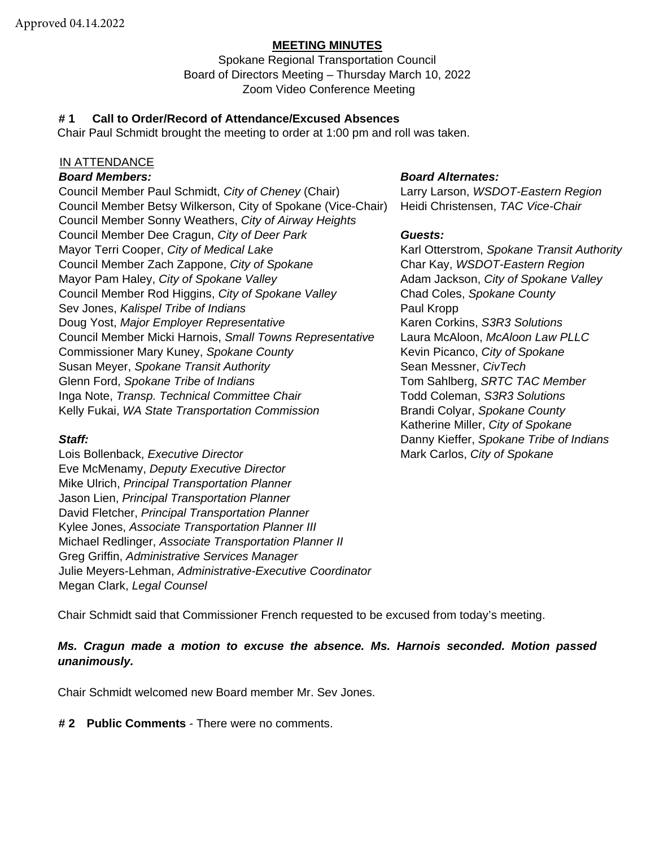#### **MEETING MINUTES**

Spokane Regional Transportation Council Board of Directors Meeting – Thursday March 10, 2022 Zoom Video Conference Meeting

#### **# 1 Call to Order/Record of Attendance/Excused Absences**

Chair Paul Schmidt brought the meeting to order at 1:00 pm and roll was taken.

#### IN ATTENDANCE

Council Member Paul Schmidt, *City of Cheney* (Chair) Larry Larson, *WSDOT-Eastern Region* Council Member Betsy Wilkerson, City of Spokane (Vice-Chair) Heidi Christensen, *TAC Vice-Chair* Council Member Sonny Weathers, *City of Airway Heights* Council Member Dee Cragun, *City of Deer Park Guests:*  Mayor Terri Cooper, *City of Medical Lake* Karl Otterstrom, *Spokane Transit Authority* Council Member Zach Zappone, *City of Spokane* Char Kay, *WSDOT-Eastern Region* Mayor Pam Haley, *City of Spokane Valley* Alley Adam Jackson, *City of Spokane Valley* Council Member Rod Higgins, *City of Spokane Valley* Chad Coles, *Spokane County* Sev Jones, *Kalispel Tribe of Indians* example the example of Paul Kropp Doug Yost, *Major Employer Representative* Karen Corkins, S3R3 Solutions Council Member Micki Harnois, *Small Towns Representative* Laura McAloon, *McAloon Law PLLC* Commissioner Mary Kuney, *Spokane County* **Keyin Picanco**, *City of Spokane* Susan Meyer, *Spokane Transit Authority* Susang Sean Messner, *CivTech* Glenn Ford, *Spokane Tribe of Indians* Tom Sahlberg, *SRTC TAC Member* Inga Note, *Transp. Technical Committee Chair* Todd Coleman, *S3R3 Solutions* Kelly Fukai, *WA State Transportation Commission* Brandi Colyar, *Spokane County* 

Lois Bollenback, *Executive Director* Mark Carlos, *City of Spokane* Eve McMenamy, *Deputy Executive Director* Mike Ulrich, *Principal Transportation Planner* Jason Lien, *Principal Transportation Planner* David Fletcher, *Principal Transportation Planner* Kylee Jones, *Associate Transportation Planner III* Michael Redlinger, *Associate Transportation Planner II* Greg Griffin, *Administrative Services Manager* Julie Meyers-Lehman, *Administrative-Executive Coordinator* Megan Clark, *Legal Counsel*

#### *Board Members: Board Alternates:*

Katherine Miller, *City of Spokane Staff:* Danny Kieffer, *Spokane Tribe of Indians*

Chair Schmidt said that Commissioner French requested to be excused from today's meeting.

## *Ms. Cragun made a motion to excuse the absence. Ms. Harnois seconded. Motion passed unanimously.*

Chair Schmidt welcomed new Board member Mr. Sev Jones.

**# 2 Public Comments** - There were no comments.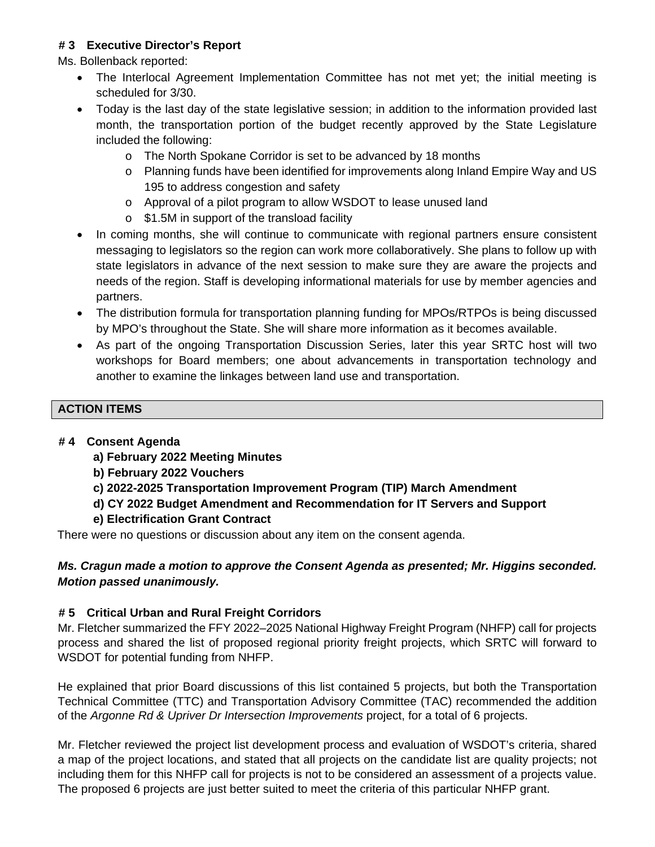# **# 3 Executive Director's Report**

Ms. Bollenback reported:

- The Interlocal Agreement Implementation Committee has not met yet; the initial meeting is scheduled for 3/30.
- Today is the last day of the state legislative session; in addition to the information provided last month, the transportation portion of the budget recently approved by the State Legislature included the following:
	- o The North Spokane Corridor is set to be advanced by 18 months
	- o Planning funds have been identified for improvements along Inland Empire Way and US 195 to address congestion and safety
	- o Approval of a pilot program to allow WSDOT to lease unused land
	- o \$1.5M in support of the transload facility
- In coming months, she will continue to communicate with regional partners ensure consistent messaging to legislators so the region can work more collaboratively. She plans to follow up with state legislators in advance of the next session to make sure they are aware the projects and needs of the region. Staff is developing informational materials for use by member agencies and partners.
- The distribution formula for transportation planning funding for MPOs/RTPOs is being discussed by MPO's throughout the State. She will share more information as it becomes available.
- As part of the ongoing Transportation Discussion Series, later this year SRTC host will two workshops for Board members; one about advancements in transportation technology and another to examine the linkages between land use and transportation.

# **ACTION ITEMS**

## **# 4 Consent Agenda**

- **a) February 2022 Meeting Minutes**
- **b) February 2022 Vouchers**
- **c) 2022-2025 Transportation Improvement Program (TIP) March Amendment**
- **d) CY 2022 Budget Amendment and Recommendation for IT Servers and Support**
- **e) Electrification Grant Contract**

There were no questions or discussion about any item on the consent agenda.

## *Ms. Cragun made a motion to approve the Consent Agenda as presented; Mr. Higgins seconded. Motion passed unanimously.*

## **# 5 Critical Urban and Rural Freight Corridors**

Mr. Fletcher summarized the FFY 2022–2025 National Highway Freight Program (NHFP) call for projects process and shared the list of proposed regional priority freight projects, which SRTC will forward to WSDOT for potential funding from NHFP.

He explained that prior Board discussions of this list contained 5 projects, but both the Transportation Technical Committee (TTC) and Transportation Advisory Committee (TAC) recommended the addition of the *Argonne Rd & Upriver Dr Intersection Improvements* project, for a total of 6 projects.

Mr. Fletcher reviewed the project list development process and evaluation of WSDOT's criteria, shared a map of the project locations, and stated that all projects on the candidate list are quality projects; not including them for this NHFP call for projects is not to be considered an assessment of a projects value. The proposed 6 projects are just better suited to meet the criteria of this particular NHFP grant.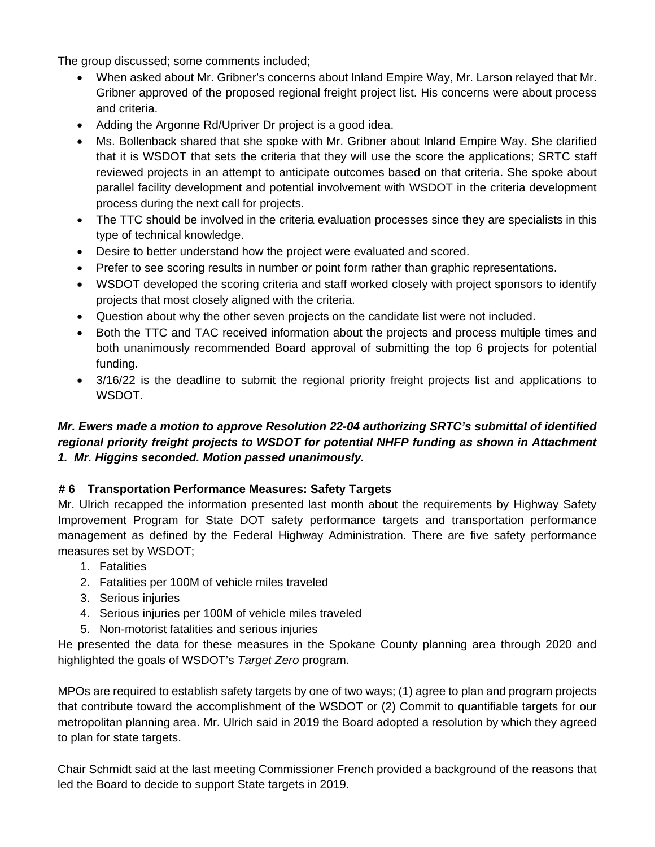The group discussed; some comments included;

- When asked about Mr. Gribner's concerns about Inland Empire Way, Mr. Larson relayed that Mr. Gribner approved of the proposed regional freight project list. His concerns were about process and criteria.
- Adding the Argonne Rd/Upriver Dr project is a good idea.
- Ms. Bollenback shared that she spoke with Mr. Gribner about Inland Empire Way. She clarified that it is WSDOT that sets the criteria that they will use the score the applications; SRTC staff reviewed projects in an attempt to anticipate outcomes based on that criteria. She spoke about parallel facility development and potential involvement with WSDOT in the criteria development process during the next call for projects.
- The TTC should be involved in the criteria evaluation processes since they are specialists in this type of technical knowledge.
- Desire to better understand how the project were evaluated and scored.
- Prefer to see scoring results in number or point form rather than graphic representations.
- WSDOT developed the scoring criteria and staff worked closely with project sponsors to identify projects that most closely aligned with the criteria.
- Question about why the other seven projects on the candidate list were not included.
- Both the TTC and TAC received information about the projects and process multiple times and both unanimously recommended Board approval of submitting the top 6 projects for potential funding.
- 3/16/22 is the deadline to submit the regional priority freight projects list and applications to WSDOT.

# *Mr. Ewers made a motion to approve Resolution 22-04 authorizing SRTC's submittal of identified regional priority freight projects to WSDOT for potential NHFP funding as shown in Attachment 1. Mr. Higgins seconded. Motion passed unanimously.*

## **# 6 Transportation Performance Measures: Safety Targets**

Mr. Ulrich recapped the information presented last month about the requirements by Highway Safety Improvement Program for State DOT safety performance targets and transportation performance management as defined by the Federal Highway Administration. There are five safety performance measures set by WSDOT;

- 1. Fatalities
- 2. Fatalities per 100M of vehicle miles traveled
- 3. Serious injuries
- 4. Serious injuries per 100M of vehicle miles traveled
- 5. Non-motorist fatalities and serious injuries

He presented the data for these measures in the Spokane County planning area through 2020 and highlighted the goals of WSDOT's *Target Zero* program.

MPOs are required to establish safety targets by one of two ways; (1) agree to plan and program projects that contribute toward the accomplishment of the WSDOT or (2) Commit to quantifiable targets for our metropolitan planning area. Mr. Ulrich said in 2019 the Board adopted a resolution by which they agreed to plan for state targets.

Chair Schmidt said at the last meeting Commissioner French provided a background of the reasons that led the Board to decide to support State targets in 2019.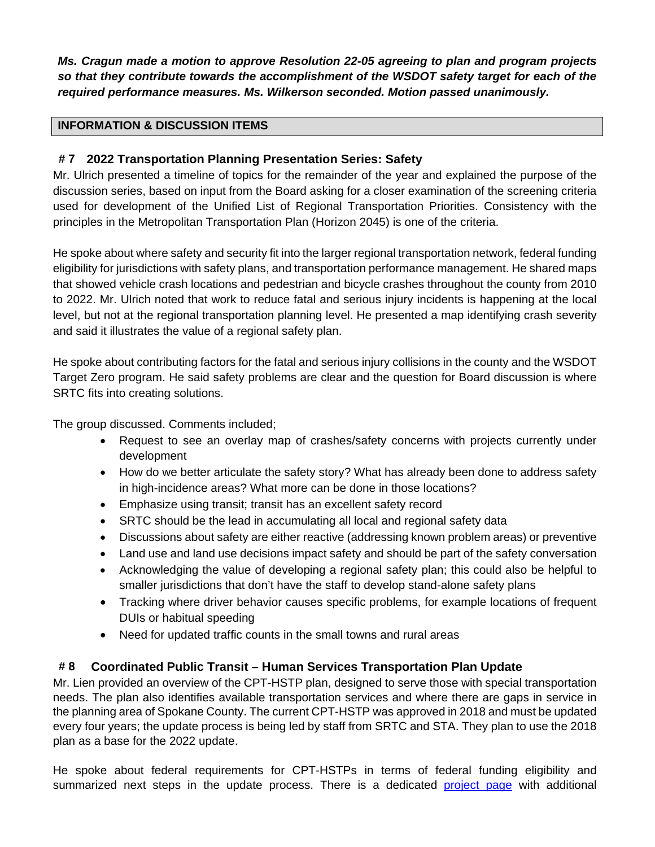*Ms. Cragun made a motion to approve Resolution 22-05 agreeing to plan and program projects so that they contribute towards the accomplishment of the WSDOT safety target for each of the required performance measures. Ms. Wilkerson seconded. Motion passed unanimously.*

## **INFORMATION & DISCUSSION ITEMS**

## **# 7 2022 Transportation Planning Presentation Series: Safety**

Mr. Ulrich presented a timeline of topics for the remainder of the year and explained the purpose of the discussion series, based on input from the Board asking for a closer examination of the screening criteria used for development of the Unified List of Regional Transportation Priorities. Consistency with the principles in the Metropolitan Transportation Plan (Horizon 2045) is one of the criteria.

He spoke about where safety and security fit into the larger regional transportation network, federal funding eligibility for jurisdictions with safety plans, and transportation performance management. He shared maps that showed vehicle crash locations and pedestrian and bicycle crashes throughout the county from 2010 to 2022. Mr. Ulrich noted that work to reduce fatal and serious injury incidents is happening at the local level, but not at the regional transportation planning level. He presented a map identifying crash severity and said it illustrates the value of a regional safety plan.

He spoke about contributing factors for the fatal and serious injury collisions in the county and the WSDOT Target Zero program. He said safety problems are clear and the question for Board discussion is where SRTC fits into creating solutions.

The group discussed. Comments included;

- Request to see an overlay map of crashes/safety concerns with projects currently under development
- How do we better articulate the safety story? What has already been done to address safety in high-incidence areas? What more can be done in those locations?
- Emphasize using transit; transit has an excellent safety record
- SRTC should be the lead in accumulating all local and regional safety data
- Discussions about safety are either reactive (addressing known problem areas) or preventive
- Land use and land use decisions impact safety and should be part of the safety conversation
- Acknowledging the value of developing a regional safety plan; this could also be helpful to smaller jurisdictions that don't have the staff to develop stand-alone safety plans
- Tracking where driver behavior causes specific problems, for example locations of frequent DUIs or habitual speeding
- Need for updated traffic counts in the small towns and rural areas

## **# 8 Coordinated Public Transit – Human Services Transportation Plan Update**

Mr. Lien provided an overview of the CPT-HSTP plan, designed to serve those with special transportation needs. The plan also identifies available transportation services and where there are gaps in service in the planning area of Spokane County. The current CPT-HSTP was approved in 2018 and must be updated every four years; the update process is being led by staff from SRTC and STA. They plan to use the 2018 plan as a base for the 2022 update.

He spoke about federal requirements for CPT-HSTPs in terms of federal funding eligibility and summarized next steps in the update process. There is a dedicated [project page](https://arcg.is/1eqP4C0) with additional